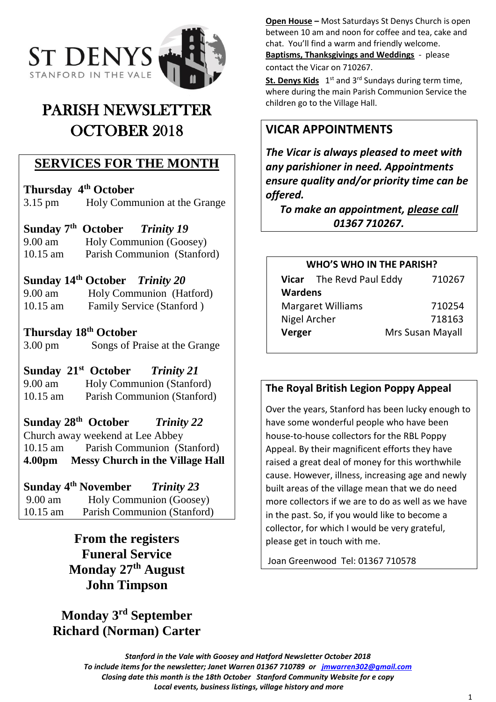

# PARISH NEWSLETTER OCTOBER 2018

### **SERVICES FOR THE MONTH**

**Thursday 4th October** 3.15 pm Holy Communion at the Grange

**Sunday 7 th October** *Trinity 19* 9.00 am Holy Communion (Goosey) 10.15 am Parish Communion (Stanford)

**Sunday 14th October** *Trinity 20*

9.00 am Holy Communion (Hatford) 10.15 am Family Service (Stanford )

### **Thursday 18th October**

3.00 pm Songs of Praise at the Grange

### **Sunday 21st October** *Trinity 21*

9.00 am Holy Communion (Stanford) 10.15 am Parish Communion (Stanford)

### **Sunday 28th October** *Trinity 22*

Church away weekend at Lee Abbey 10.15 am Parish Communion (Stanford) **4.00pm Messy Church in the Village Hall**

### **Sunday 4th November** *Trinity 23*

9.00 am Holy Communion (Goosey) 10.15 am Parish Communion (Stanford)

> **From the registers Funeral Service Monday 27th August John Timpson**

# **Monday 3rd September Richard (Norman) Carter**

**Open House –** Most Saturdays St Denys Church is open between 10 am and noon for coffee and tea, cake and chat. You'll find a warm and friendly welcome.

**Baptisms, Thanksgivings and Weddings** - please contact the Vicar on 710267.

St. Denys Kids 1<sup>st</sup> and 3<sup>rd</sup> Sundays during term time, where during the main Parish Communion Service the children go to the Village Hall.

# **VICAR APPOINTMENTS**

*The Vicar is always pleased to meet with any parishioner in need. Appointments ensure quality and/or priority time can be offered.*

*To make an appointment, please call 01367 710267.*

### **WHO'S WHO IN THE PARISH?**

|                          | Vicar The Revd Paul Eddy | 710267                  |
|--------------------------|--------------------------|-------------------------|
| <b>Wardens</b>           |                          |                         |
| <b>Margaret Williams</b> |                          | 710254                  |
| Nigel Archer             |                          | 718163                  |
| Verger                   |                          | <b>Mrs Susan Mayall</b> |

### **The Royal British Legion Poppy Appeal**

Over the years, Stanford has been lucky enough to have some wonderful people who have been house-to-house collectors for the RBL Poppy Appeal. By their magnificent efforts they have raised a great deal of money for this worthwhile cause. However, illness, increasing age and newly built areas of the village mean that we do need more collectors if we are to do as well as we have in the past. So, if you would like to become a collector, for which I would be very grateful, please get in touch with me.

Joan Greenwood Tel: 01367 710578

*Stanford in the Vale with Goosey and Hatford Newsletter October 2018 To include items for the newsletter; Janet Warren 01367 710789 or [jmwarren302@gmail.com](mailto:jmwarren302@gmail.com) Closing date this month is the 18th October Stanford Community Website for e copy Local events, business listings, village history and more*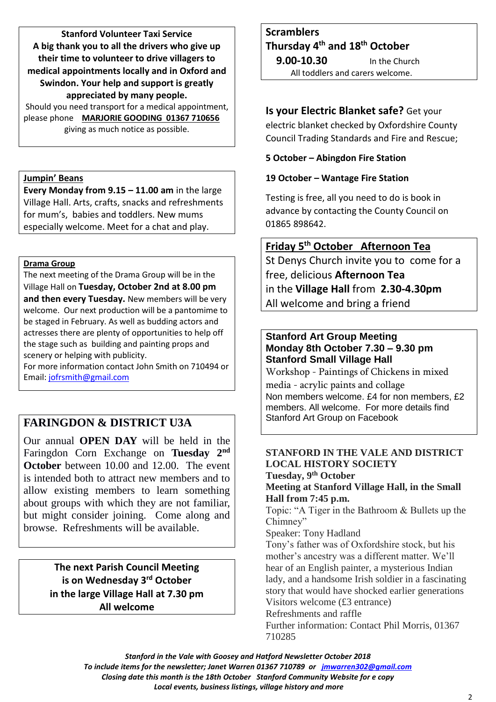**Stanford Volunteer Taxi Service A big thank you to all the drivers who give up their time to volunteer to drive villagers to medical appointments locally and in Oxford and Swindon. Your help and support is greatly appreciated by many people.**

Should you need transport for a medical appointment, please phone **MARJORIE GOODING 01367 710656** giving as much notice as possible.

### **Jumpin' Beans**

**Every Monday from 9.15 – 11.00 am** in the large Village Hall. Arts, crafts, snacks and refreshments for mum's, babies and toddlers. New mums especially welcome. Meet for a chat and play.

#### **Drama Group**

The next meeting of the Drama Group will be in the Village Hall on **Tuesday, October 2nd at 8.00 pm and then every Tuesday.** New members will be very welcome. Our next production will be a pantomime to be staged in February. As well as budding actors and actresses there are plenty of opportunities to help off the stage such as building and painting props and scenery or helping with publicity.

For more information contact John Smith on 710494 or Email: [jofrsmith@gmail.com](mailto:jofrsmith@gmail.com)

### **FARINGDON & DISTRICT U3A**

Our annual **OPEN DAY** will be held in the Faringdon Corn Exchange on **Tuesday 2nd October** between 10.00 and 12.00. The event is intended both to attract new members and to allow existing members to learn something about groups with which they are not familiar, but might consider joining. Come along and browse. Refreshments will be available.

> **The next Parish Council Meeting is on Wednesday 3 rd October in the large Village Hall at 7.30 pm All welcome**

# **Scramblers Thursday 4 th and 18th October**

 **9.00-10.30** In the Church All toddlers and carers welcome.

### **Is your Electric Blanket safe?** Get your

electric blanket checked by Oxfordshire County Council Trading Standards and Fire and Rescue;

### **5 October – Abingdon Fire Station**

### **19 October – Wantage Fire Station**

Testing is free, all you need to do is book in advance by contacting the County Council on 01865 898642.

# **Friday 5th October Afternoon Tea**

St Denys Church invite you to come for a free, delicious **Afternoon Tea** in the **Village Hall** from **2.30-4.30pm** All welcome and bring a friend

### **Stanford Art Group Meeting Monday 8th October 7.30 – 9.30 pm Stanford Small Village Hall**

Workshop - Paintings of Chickens in mixed media - acrylic paints and collage Non members welcome. £4 for non members, £2 members. All welcome. For more details find Stanford Art Group on Facebook

### **STANFORD IN THE VALE AND DISTRICT LOCAL HISTORY SOCIETY Tuesday, 9 th October**

### **Meeting at Stanford Village Hall, in the Small Hall from 7:45 p.m.**

Topic: "A Tiger in the Bathroom & Bullets up the Chimney"

Speaker: Tony Hadland

Tony's father was of Oxfordshire stock, but his mother's ancestry was a different matter. We'll hear of an English painter, a mysterious Indian lady, and a handsome Irish soldier in a fascinating story that would have shocked earlier generations Visitors welcome (£3 entrance)

Refreshments and raffle

Further information: Contact Phil Morris, 01367 710285

*Stanford in the Vale with Goosey and Hatford Newsletter October 2018*

*To include items for the newsletter; Janet Warren 01367 710789 or [jmwarren302@gmail.com](mailto:jmwarren302@gmail.com)*

*Closing date this month is the 18th October Stanford Community Website for e copy*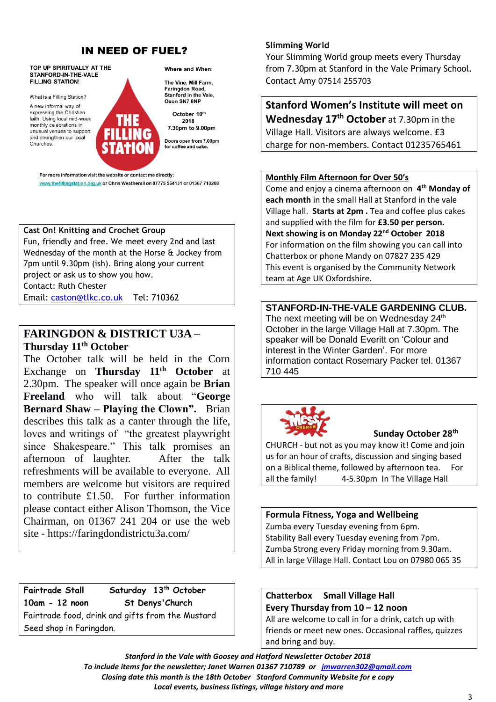### **IN NEED OF FUEL?**

TOP UP SPIRITUALLY AT THE Where and When: STANFORD-IN-THE-VALE **FILLING STATION!** What is a Filling Station? A new informal way of expressing the Christian October 10th faith. Using local mid-week monthly celebrations in unusual venues to support and strengthen our local **Churches** 

The Vine, Mill Farm,

Faringdon Road, Stanford in the Vale. Oxon SN7 8NP

2018 7.30pm to 9.00pm

Doors open from 7.00pm for coffee and cake.

For more information visit the website or contact me directly: www.thefillingstation.org.uk or Chris Weatherall on 07775 564131 or 01367 710208

### **Cast On! Knitting and Crochet Group**

Fun, friendly and free. We meet every 2nd and last Wednesday of the month at the Horse & Jockey from 7pm until 9.30pm (ish). Bring along your current project or ask us to show you how. Contact: Ruth Chester Email: [caston@tlkc.co.uk](mailto:caston@tlkc.co.uk) Tel: 710362

**FARINGDON & DISTRICT U3A – Thursday 11th October**

The October talk will be held in the Corn Exchange on **Thursday 11th October** at 2.30pm. The speaker will once again be **Brian Freeland** who will talk about "**George Bernard Shaw – Playing the Clown".** Brian describes this talk as a canter through the life, loves and writings of "the greatest playwright since Shakespeare." This talk promises an afternoon of laughter. After the talk refreshments will be available to everyone. All members are welcome but visitors are required to contribute £1.50. For further information please contact either Alison Thomson, the Vice Chairman, on 01367 241 204 or use the web site - https://faringdondistrictu3a.com/

**Fairtrade Stall Saturday 13 th October 10am - 12 noon St Denys'Church** Fairtrade food, drink and gifts from the Mustard Seed shop in Faringdon.

#### **Slimming World**

Your Slimming World group meets every Thursday from 7.30pm at Stanford in the Vale Primary School. Contact Amy 07514 255703

# **Stanford Women's Institute will meet on**

**Wednesday 17 th October** at 7.30pm in the Village Hall. Visitors are always welcome. £3 charge for non-members. Contact 01235765461

#### **Monthly Film Afternoon for Over 50's**

Come and enjoy a cinema afternoon on **4 th Monday of each month** in the small Hall at Stanford in the vale Village hall. **Starts at 2pm .** Tea and coffee plus cakes and supplied with the film for **£3.50 per person. Next showing is on Monday 22nd October 2018** For information on the film showing you can call into Chatterbox or phone Mandy on 07827 235 429 This event is organised by the Community Network team at Age UK Oxfordshire.

**STANFORD-IN-THE-VALE GARDENING CLUB.**  The next meeting will be on Wednesday 24<sup>th</sup> October in the large Village Hall at 7.30pm. The speaker will be Donald Everitt on 'Colour and interest in the Winter Garden'. For more information contact Rosemary Packer tel. 01367 710 445



### **Sunday October 28th**

CHURCH - but not as you may know it! Come and join us for an hour of crafts, discussion and singing based on a Biblical theme, followed by afternoon tea. For all the family! 4-5.30pm In The Village Hall

#### **Formula Fitness, Yoga and Wellbeing**

Zumba every Tuesday evening from 6pm. Stability Ball every Tuesday evening from 7pm. Zumba Strong every Friday morning from 9.30am. All in large Village Hall. Contact Lou on 07980 065 35

### **Chatterbox Small Village Hall Every Thursday from 10 – 12 noon**

All are welcome to call in for a drink, catch up with friends or meet new ones. Occasional raffles, quizzes and bring and buy.

*Stanford in the Vale with Goosey and Hatford Newsletter October 2018 To include items for the newsletter; Janet Warren 01367 710789 or [jmwarren302@gmail.com](mailto:jmwarren302@gmail.com) Closing date this month is the 18th October Stanford Community Website for e copy Local events, business listings, village history and more*